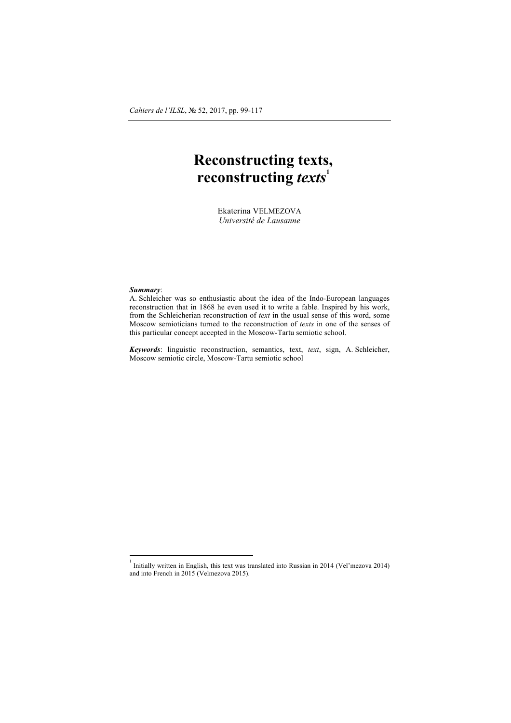## **Reconstructing texts, reconstructing** *texts***<sup>1</sup>**

Ekaterina VELMEZOVA *Université de Lausanne*

## *Summary*:

A. Schleicher was so enthusiastic about the idea of the Indo-European languages reconstruction that in 1868 he even used it to write a fable. Inspired by his work, from the Schleicherian reconstruction of *text* in the usual sense of this word, some Moscow semioticians turned to the reconstruction of *texts* in one of the senses of this particular concept accepted in the Moscow-Tartu semiotic school.

*Keywords*: linguistic reconstruction, semantics, text, *text*, sign, A. Schleicher, Moscow semiotic circle, Moscow-Tartu semiotic school

 

Initially written in English, this text was translated into Russian in 2014 (Vel'mezova 2014) and into French in 2015 (Velmezova 2015).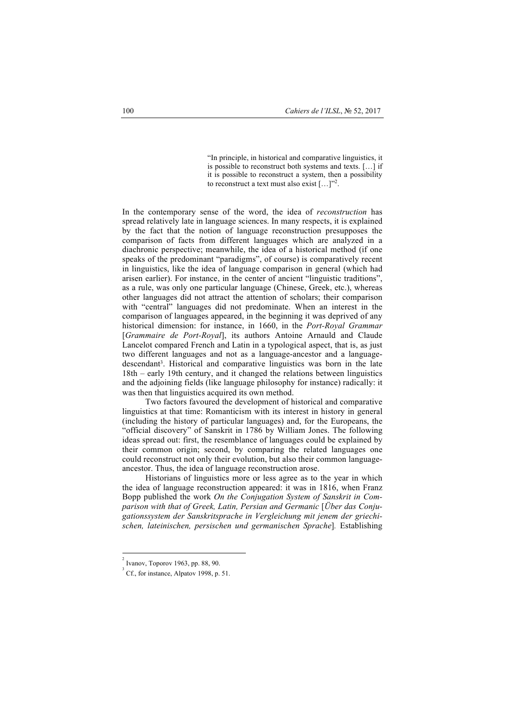"In principle, in historical and comparative linguistics, it is possible to reconstruct both systems and texts. […] if it is possible to reconstruct a system, then a possibility to reconstruct a text must also exist  $[\dots]^{n^2}$ .

In the contemporary sense of the word, the idea of *reconstruction* has spread relatively late in language sciences. In many respects, it is explained by the fact that the notion of language reconstruction presupposes the comparison of facts from different languages which are analyzed in a diachronic perspective; meanwhile, the idea of a historical method (if one speaks of the predominant "paradigms", of course) is comparatively recent in linguistics, like the idea of language comparison in general (which had arisen earlier). For instance, in the center of ancient "linguistic traditions", as a rule, was only one particular language (Chinese, Greek, etc.), whereas other languages did not attract the attention of scholars; their comparison with "central" languages did not predominate. When an interest in the comparison of languages appeared, in the beginning it was deprived of any historical dimension: for instance, in 1660, in the *Port-Royal Grammar* [*Grammaire de Port-Royal*], its authors Antoine Arnauld and Claude Lancelot compared French and Latin in a typological aspect, that is, as just two different languages and not as a language-ancestor and a languagedescendant<sup>3</sup>. Historical and comparative linguistics was born in the late 18th – early 19th century, and it changed the relations between linguistics and the adjoining fields (like language philosophy for instance) radically: it was then that linguistics acquired its own method.

Two factors favoured the development of historical and comparative linguistics at that time: Romanticism with its interest in history in general (including the history of particular languages) and, for the Europeans, the "official discovery" of Sanskrit in 1786 by William Jones. The following ideas spread out: first, the resemblance of languages could be explained by their common origin; second, by comparing the related languages one could reconstruct not only their evolution, but also their common languageancestor. Thus, the idea of language reconstruction arose.

Historians of linguistics more or less agree as to the year in which the idea of language reconstruction appeared: it was in 1816, when Franz Bopp published the work *On the Conjugation System of Sanskrit in Comparison with that of Greek, Latin, Persian and Germanic* [*Über das Conjugationssystem der Sanskritsprache in Vergleichung mit jenem der griechischen, lateinischen, persischen und germanischen Sprache*]*.* Establishing

Ivanov, Toporov 1963, рp. 88, 90. <sup>3</sup>

Cf., for instance, Alpatov 1998, p. 51.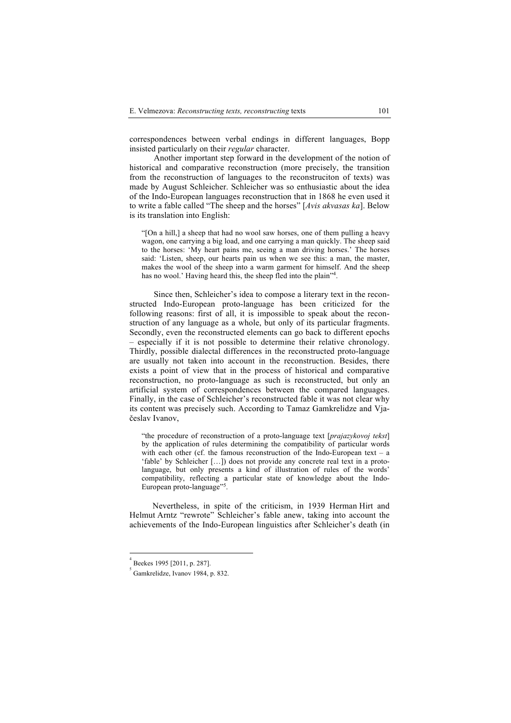correspondences between verbal endings in different languages, Bopp insisted particularly on their *regular* character.

Another important step forward in the development of the notion of historical and comparative reconstruction (more precisely, the transition from the reconstruction of languages to the reconstruciton of texts) was made by August Schleicher. Schleicher was so enthusiastic about the idea of the Indo-European languages reconstruction that in 1868 he even used it to write a fable called "The sheep and the horses" [*Avis akvasas ka*]. Below is its translation into English:

"[On a hill,] a sheep that had no wool saw horses, one of them pulling a heavy wagon, one carrying a big load, and one carrying a man quickly. The sheep said to the horses: 'My heart pains me, seeing a man driving horses.' The horses said: 'Listen, sheep, our hearts pain us when we see this: a man, the master, makes the wool of the sheep into a warm garment for himself. And the sheep has no wool.' Having heard this, the sheep fled into the plain"<sup>4</sup>.

Since then, Schleicher's idea to compose a literary text in the reconstructed Indo-European proto-language has been criticized for the following reasons: first of all, it is impossible to speak about the reconstruction of any language as a whole, but only of its particular fragments. Secondly, even the reconstructed elements can go back to different epochs – especially if it is not possible to determine their relative chronology. Thirdly, possible dialectal differences in the reconstructed proto-language are usually not taken into account in the reconstruction. Besides, there exists a point of view that in the process of historical and comparative reconstruction, no proto-language as such is reconstructed, but only an artificial system of correspondences between the compared languages. Finally, in the case of Schleicher's reconstructed fable it was not clear why its content was precisely such. According to Tamaz Gamkrelidze and Vjačeslav Ivanov,

"the procedure of reconstruction of a proto-language text [*prajazykovoj tekst*] by the application of rules determining the compatibility of particular words with each other (cf. the famous reconstruction of the Indo-European text – a 'fable' by Schleicher […]) does not provide any concrete real text in a protolanguage, but only presents a kind of illustration of rules of the words' compatibility, reflecting a particular state of knowledge about the Indo-European proto-language" .

Nevertheless, in spite of the criticism, in 1939 Herman Hirt and Helmut Arntz "rewrote" Schleicher's fable anew, taking into account the achievements of the Indo-European linguistics after Schleicher's death (in

4

Beekes 1995 [2011, p. 287].

Gamkrelidze, Ivanov 1984, p. 832.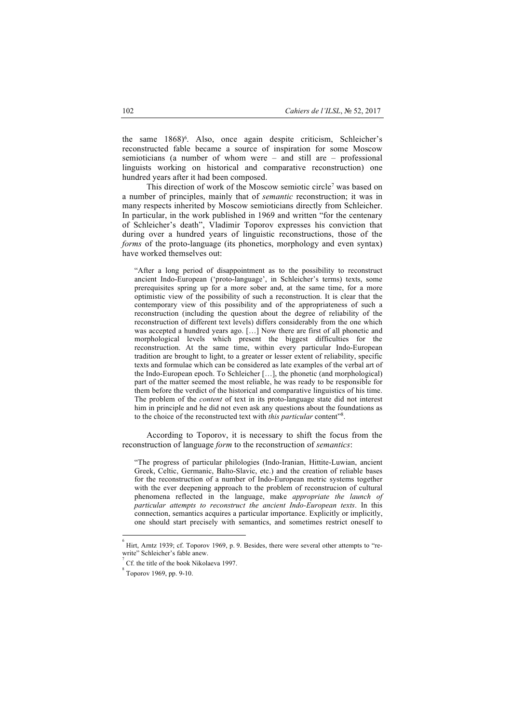the same 1868)<sup>6</sup>. Also, once again despite criticism, Schleicher's reconstructed fable became a source of inspiration for some Moscow semioticians (a number of whom were – and still are – professional linguists working on historical and comparative reconstruction) one hundred years after it had been composed.

This direction of work of the Moscow semiotic circle<sup>7</sup> was based on a number of principles, mainly that of *semantic* reconstruction; it was in many respects inherited by Moscow semioticians directly from Schleicher. In particular, in the work published in 1969 and written "for the centenary of Schleicher's death", Vladimir Toporov expresses his conviction that during over a hundred years of linguistic reconstructions, those of the *forms* of the proto-language (its phonetics, morphology and even syntax) have worked themselves out:

"After a long period of disappointment as to the possibility to reconstruct ancient Indo-European ('proto-language', in Schleicher's terms) texts, some prerequisites spring up for a more sober and, at the same time, for a more optimistic view of the possibility of such a reconstruction. It is clear that the contemporary view of this possibility and of the appropriateness of such a reconstruction (including the question about the degree of reliability of the reconstruction of different text levels) differs considerably from the one which was accepted a hundred years ago. […] Now there are first of all phonetic and morphological levels which present the biggest difficulties for the reconstruction. At the same time, within every particular Indo-European tradition are brought to light, to a greater or lesser extent of reliability, specific texts and formulae which can be considered as late examples of the verbal art of the Indo-European epoch. To Schleicher […], the phonetic (and morphological) part of the matter seemed the most reliable, he was ready to be responsible for them before the verdict of the historical and comparative linguistics of his time. The problem of the *content* of text in its proto-language state did not interest him in principle and he did not even ask any questions about the foundations as to the choice of the reconstructed text with *this particular* content"8 .

According to Toporov, it is necessary to shift the focus from the reconstruction of language *form* to the reconstruction of *semantics*:

"The progress of particular philologies (Indo-Iranian, Hittite-Luwian, ancient Greek, Celtic, Germanic, Balto-Slavic, etc.) and the creation of reliable bases for the reconstruction of a number of Indo-European metric systems together with the ever deepening approach to the problem of reconstrucion of cultural phenomena reflected in the language, make *appropriate the launch of particular attempts to reconstruct the ancient Indo-European texts*. In this connection, semantics acquires a particular importance. Explicitly or implicitly, one should start precisely with semantics, and sometimes restrict oneself to

<sup>6</sup> Hirt, Arntz 1939; cf. Toporov 1969, p. 9. Besides, there were several other attempts to "rewrite" Schleicher's fable anew. 7

Cf. the title of the book Nikolaeva 1997.

Toporov 1969, рp. 9-10.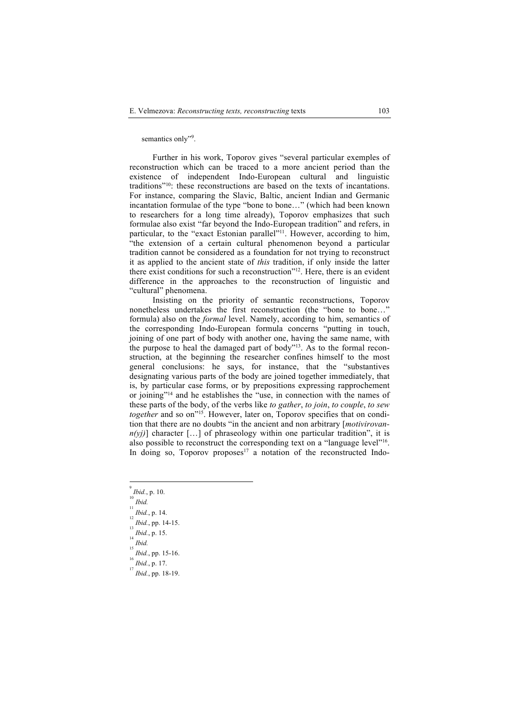semantics only"9.

Further in his work, Toporov gives "several particular exemples of reconstruction which can be traced to a more ancient period than the existence of independent Indo-European cultural and linguistic traditions"10: these reconstructions are based on the texts of incantations. For instance, comparing the Slavic, Baltic, ancient Indian and Germanic incantation formulae of the type "bone to bone…" (which had been known to researchers for a long time already), Toporov emphasizes that such formulae also exist "far beyond the Indo-European tradition" and refers, in particular, to the "exact Estonian parallel"11. However, according to him, "the extension of a certain cultural phenomenon beyond a particular tradition cannot be considered as a foundation for not trying to reconstruct it as applied to the ancient state of *this* tradition, if only inside the latter there exist conditions for such a reconstruction"12. Here, there is an evident difference in the approaches to the reconstruction of linguistic and "cultural" phenomena.

Insisting on the priority of semantic reconstructions, Toporov nonetheless undertakes the first reconstruction (the "bone to bone…" formula) also on the *formal* level. Namely, according to him, semantics of the corresponding Indo-European formula concerns "putting in touch, joining of one part of body with another one, having the same name, with the purpose to heal the damaged part of body"13. As to the formal reconstruction, at the beginning the researcher confines himself to the most general conclusions: he says, for instance, that the "substantives designating various parts of the body are joined together immediately, that is, by particular case forms, or by prepositions expressing rapprochement or joining"<sup>14</sup> and he establishes the "use, in connection with the names of these parts of the body, of the verbs like *to gather*, *to join*, *to couple*, *to sew*  together and so on"<sup>15</sup>. However, later on, Toporov specifies that on condition that there are no doubts "in the ancient and non arbitrary [*motivirovan* $n(y)$ ] character [...] of phraseology within one particular tradition", it is also possible to reconstruct the corresponding text on a "language level"16. In doing so, Toporov proposes<sup>17</sup> a notation of the reconstructed Indo-

 $\int_{12}^{11} Ibid., p. 14.$ 

<sup>9</sup> *Ibid.*, p. 10.

*Ibid.* 11

*Ibid.*, pp. 14-15.

<sup>13</sup> *Ibid.*, p. 15.

 $\int_{15}^{14} Ibid.$ 

*Ibid.*, pp. 15-16. 16

 $\int_{17}^{16} Ibid.$ , p. 17.

*Ibid.*, pp. 18-19.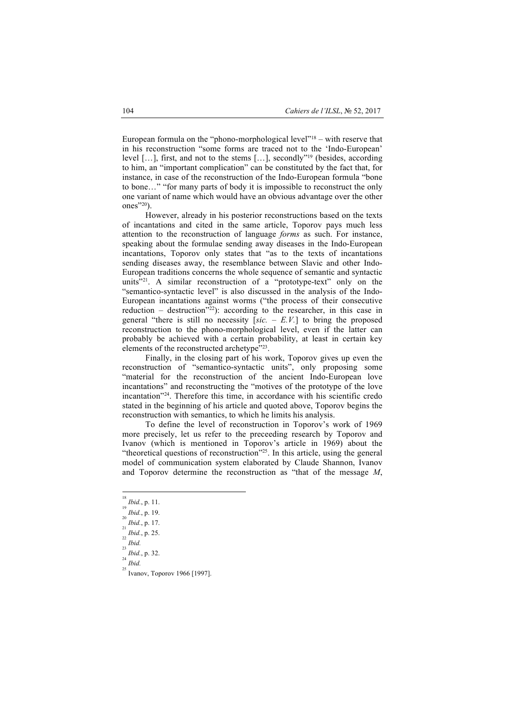European formula on the "phono-morphological level"18 – with reserve that in his reconstruction "some forms are traced not to the 'Indo-European' level […], first, and not to the stems […], secondly"19 (besides, according to him, an "important complication" can be constituted by the fact that, for instance, in case of the reconstruction of the Indo-European formula "bone to bone…" "for many parts of body it is impossible to reconstruct the only one variant of name which would have an obvious advantage over the other ones"20).

However, already in his posterior reconstructions based on the texts of incantations and cited in the same article, Toporov pays much less attention to the reconstruction of language *forms* as such. For instance, speaking about the formulae sending away diseases in the Indo-European incantations, Toporov only states that "as to the texts of incantations sending diseases away, the resemblance between Slavic and other Indo-European traditions concerns the whole sequence of semantic and syntactic units"21. A similar reconstruction of a "prototype-text" only on the "semantico-syntactic level" is also discussed in the analysis of the Indo-European incantations against worms ("the process of their consecutive reduction – destruction<sup> $22$ </sup>): according to the researcher, in this case in general "there is still no necessity  $[sic. - E.V.]$  to bring the proposed reconstruction to the phono-morphological level, even if the latter can probably be achieved with a certain probability, at least in certain key elements of the reconstructed archetype"23.

Finally, in the closing part of his work, Toporov gives up even the reconstruction of "semantico-syntactic units", only proposing some "material for the reconstruction of the ancient Indo-European love incantations" and reconstructing the "motives of the prototype of the love incantation"24. Therefore this time, in accordance with his scientific credo stated in the beginning of his article and quoted above, Toporov begins the reconstruction with semantics, to which he limits his analysis.

To define the level of reconstruction in Toporov's work of 1969 more precisely, let us refer to the preceeding research by Toporov and Ivanov (which is mentioned in Toporov's article in 1969) about the "theoretical questions of reconstruction"<sup>25</sup>. In this article, using the general model of communication system elaborated by Claude Shannon, Ivanov and Toporov determine the reconstruction as "that of the message *М*,

18

*Ibid.*, p. 11. 19

 $\int_{20}^{19} Ibid., p. 19.$ 

*Ibid.*, p. 17. 21

 $\int_{22}^{21} Ibid., p. 25.$ 

 $\int_{23}^{22} Ibid.$ 

*Ibid.*, p. 32.

<sup>24</sup>  $\int_{25}^{24} Ibid.$ 

Ivanov, Toporov 1966 [1997].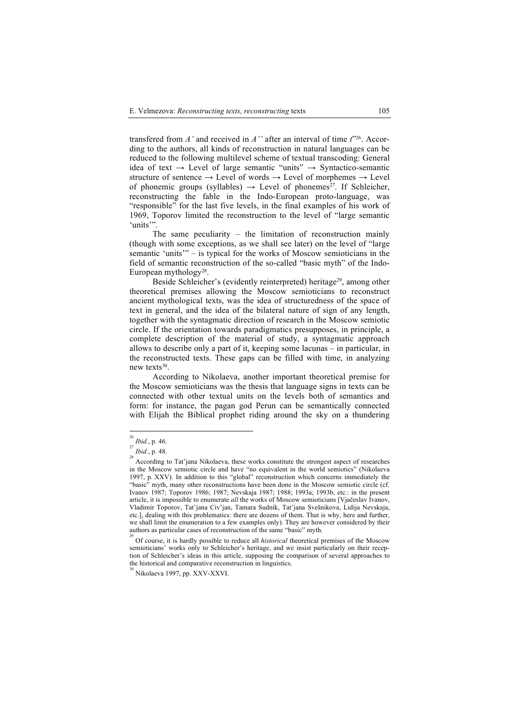transfered from *А'* and received in *A''* after an interval of time *t*"26. According to the authors, all kinds of reconstruction in natural languages can be reduced to the following multilevel scheme of textual transcoding: General idea of text  $\rightarrow$  Level of large semantic "units"  $\rightarrow$  Syntactico-semantic structure of sentence  $\rightarrow$  Level of words  $\rightarrow$  Level of morphemes  $\rightarrow$  Level of phonemic groups (syllables)  $\rightarrow$  Level of phonemes<sup>27</sup>. If Schleicher, reconstructing the fable in the Indo-European proto-language, was "responsible" for the last five levels, in the final examples of his work of 1969, Toporov limited the reconstruction to the level of "large semantic 'units'".

The same peculiarity – the limitation of reconstruction mainly (though with some exceptions, as we shall see later) on the level of "large semantic 'units'" – is typical for the works of Moscow semioticians in the field of semantic reconstruction of the so-called "basic myth" of the Indo-European mythology28.

Beside Schleicher's (evidently reinterpreted) heritage<sup>29</sup>, among other theoretical premises allowing the Moscow semioticians to reconstruct ancient mythological texts, was the idea of structuredness of the space of text in general, and the idea of the bilateral nature of sign of any length, together with the syntagmatic direction of research in the Moscow semiotic circle. If the orientation towards paradigmatics presupposes, in principle, a complete description of the material of study, a syntagmatic approach allows to describe only a part of it, keeping some lacunas – in particular, in the reconstructed texts. These gaps can be filled with time, in analyzing new texts30.

According to Nikolaeva, another important theoretical premise for the Moscow semioticians was the thesis that language signs in texts can be connected with other textual units on the levels both of semantics and form: for instance, the pagan god Perun can be semantically connected with Elijah the Biblical prophet riding around the sky on a thundering

 $^{26}$  Ibid., p. 46. *Ibid.*, p. 46.

<sup>&</sup>lt;sup>28</sup>*Ibid.*, p. 48.

According to Tat'jana Nikolaeva, these works constitute the strongest aspect of researches in the Moscow semiotic circle and have "no equivalent in the world semiotics" (Nikolaeva 1997, р. XXV). In addition to this "global" reconstruction which concerns immediately the "basic" myth, many other reconstructions have been done in the Moscow semiotic circle (cf. Ivanov 1987; Toporov 1986; 1987; Nevskaja 1987; 1988; 1993а; 1993b, etc.: in the present article, it is impossible to enumerate *all* the works of Moscow semioticians [Vjačeslav Ivanov, Vladimir Toporov, Tat'jana Civ'jan, Tamara Sudnik, Tat'jana Svešnikova, Lidija Nevskaja, etc.], dealing with this problematics: there are dozens of them. That is why, here and further, we shall limit the enumeration to a few examples only). They are however considered by their authors as particular cases of reconstruction of the same "basic" myth.

<sup>&</sup>lt;sup>29</sup> Of course, it is hardly possible to reduce all *historical* theoretical premises of the Moscow semioticians' works only to Schleicher's heritage, and we insist particularly on their reception of Schleicher's ideas in this article, supposing the comparison of several approaches to the historical and comparative reconstruction in linguistics.

Nikolaeva 1997, рp. XXV-XXVI.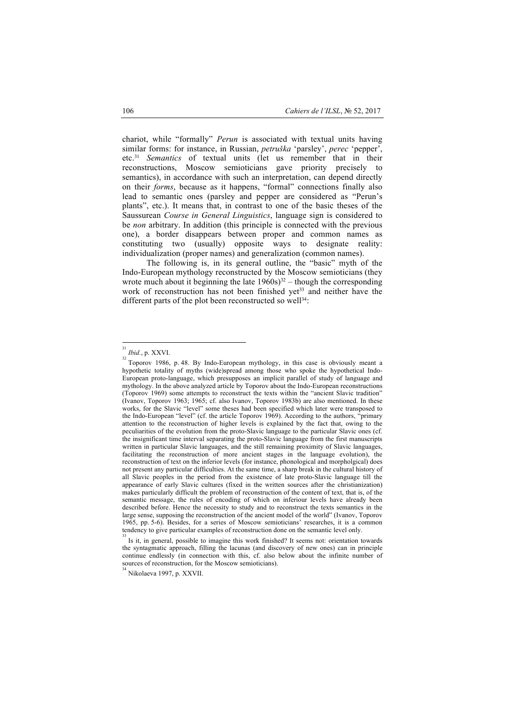chariot, while "formally" *Perun* is associated with textual units having similar forms: for instance, in Russian, *petruška* 'parsley', *perec* 'pepper', etc.31 *Semantics* of textual units (let us remember that in their reconstructions, Moscow semioticians gave priority precisely to semantics), in accordance with such an interpretation, can depend directly on their *forms*, because as it happens, "formal" connections finally also lead to semantic ones (parsley and pepper are considered as "Perun's plants", etc.). It means that, in contrast to one of the basic theses of the Saussurean *Course in General Linguistics*, language sign is considered to be *non* arbitrary. In addition (this principle is connected with the previous one), a border disappears between proper and common names as constituting two (usually) opposite ways to designate reality: individualization (proper names) and generalization (common names).

The following is, in its general outline, the "basic" myth of the Indo-European mythology reconstructed by the Moscow semioticians (they wrote much about it beginning the late  $1960s$ <sup>32</sup> – though the corresponding work of reconstruction has not been finished yet<sup>33</sup> and neither have the different parts of the plot been reconstructed so well<sup>34</sup>:

 

Nikolaeva 1997, р. XXVII.

<sup>31</sup>

*Ibid.*, p. XXVI.<br><sup>32</sup> Toporov 1986, p. 48. By Indo-European mythology, in this case is obviously meant a hypothetic totality of myths (wide)spread among those who spoke the hypothetical Indo-European proto-language, which presupposes an implicit parallel of study of language and mythology. In the above analyzed article by Toporov about the Indo-European reconstructions (Toporov 1969) some attempts to reconstruct the texts within the "ancient Slavic tradition" (Ivanov, Toporov 1963; 1965; cf. also Ivanov, Toporov 1983b) are also mentioned. In these works, for the Slavic "level" some theses had been specified which later were transposed to the Indo-European "level" (cf. the article Toporov 1969). According to the authors, "primary attention to the reconstruction of higher levels is explained by the fact that, owing to the peculiarities of the evolution from the proto-Slavic language to the particular Slavic ones (cf. the insignificant time interval separating the proto-Slavic language from the first manuscripts written in particular Slavic languages, and the still remaining proximity of Slavic languages, facilitating the reconstruction of more ancient stages in the language evolution), the reconstruction of text on the inferior levels (for instance, phonological and morpholgical) does not present any particular difficulties. At the same time, a sharp break in the cultural history of all Slavic peoples in the period from the existence of late proto-Slavic language till the appearance of early Slavic cultures (fixed in the written sources after the christianization) makes particularly difficult the problem of reconstruction of the content of text, that is, of the semantic message, the rules of encoding of which on inferiour levels have already been described before. Hence the necessity to study and to reconstruct the texts semantics in the large sense, supposing the reconstruction of the ancient model of the world" (Ivanov, Toporov 1965, pp. 5-6). Besides, for a series of Moscow semioticians' researches, it is a common tendency to give particular examples of reconstruction done on the semantic level only.

<sup>33</sup> Is it, in general, possible to imagine this work finished? It seems not: orientation towards the syntagmatic approach, filling the lacunas (and discovery of new ones) can in principle continue endlessly (in connection with this, cf. also below about the infinite number of sources of reconstruction, for the Moscow semioticians). 34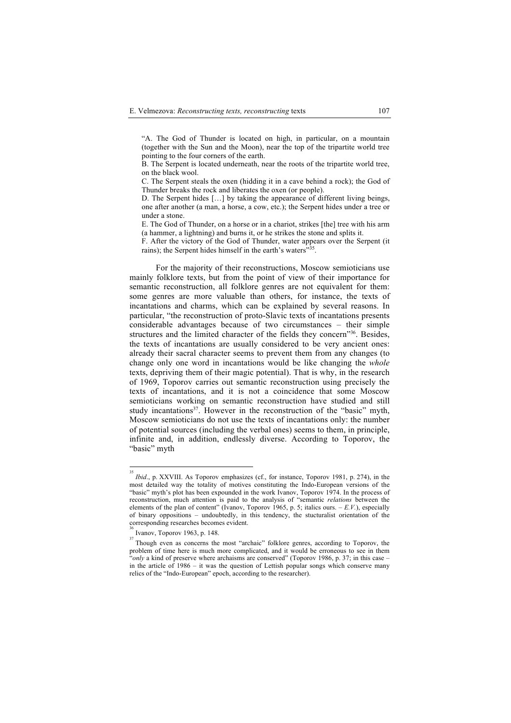"А. The God of Thunder is located on high, in particular, on a mountain (together with the Sun and the Moon), near the top of the tripartite world tree pointing to the four corners of the earth.

В. The Serpent is located underneath, near the roots of the tripartite world tree, on the black wool.

С. The Serpent steals the oxen (hidding it in a cave behind a rock); the God of Thunder breaks the rock and liberates the oxen (or people).

D. The Serpent hides [...] by taking the appearance of different living beings, one after another (a man, a horse, a cow, etc.); the Serpent hides under a tree or under a stone.

E. The God of Thunder, on a horse or in a chariot, strikes [the] tree with his arm (a hammer, a lightning) and burns it, or he strikes the stone and splits it.

F. After the victory of the God of Thunder, water appears over the Serpent (it rains); the Serpent hides himself in the earth's waters"<sup>35</sup>.

For the majority of their reconstructions, Moscow semioticians use mainly folklore texts, but from the point of view of their importance for semantic reconstruction, all folklore genres are not equivalent for them: some genres are more valuable than others, for instance, the texts of incantations and charms, which can be explained by several reasons. In particular, "the reconstruction of proto-Slavic texts of incantations presents considerable advantages because of two circumstances – their simple structures and the limited character of the fields they concern"36. Besides, the texts of incantations are usually considered to be very ancient ones: already their sacral character seems to prevent them from any changes (to change only one word in incantations would be like changing the *whole* texts, depriving them of their magic potential). That is why, in the research of 1969, Toporov carries out semantic reconstruction using precisely the texts of incantations, and it is not a coincidence that some Moscow semioticians working on semantic reconstruction have studied and still study incantations<sup>37</sup>. However in the reconstruction of the "basic" myth, Moscow semioticians do not use the texts of incantations only: the number of potential sources (including the verbal ones) seems to them, in principle, infinite and, in addition, endlessly diverse. According to Toporov, the "basic" myth

<sup>&</sup>lt;sup>35</sup><br>*Ibid.*, p. XXVIII. As Toporov emphasizes (cf., for instance, Toporov 1981, p. 274), in the most detailed way the totality of motives constituting the Indo-European versions of the "basic" myth's plot has been expounded in the work Ivanov, Toporov 1974. In the process of reconstruction, much attention is paid to the analysis of "semantic *relations* between the elements of the plan of content" (Ivanov, Toporov 1965, р. 5; italics ours. – *Е.V.*), especially of binary oppositions – undoubtedly, in this tendency, the stucturalist orientation of the corresponding researches becomes evident.

<sup>36</sup> Ivanov, Toporov 1963, р. 148.

<sup>&</sup>lt;sup>37</sup> Though even as concerns the most "archaic" folklore genres, according to Toporov, the problem of time here is much more complicated, and it would be erroneous to see in them "only a kind of preserve where archaisms are conserved" (Toporov 1986, p. 37; in this case in the article of 1986 – it was the question of Lettish popular songs which conserve many relics of the "Indo-European" epoch, according to the researcher).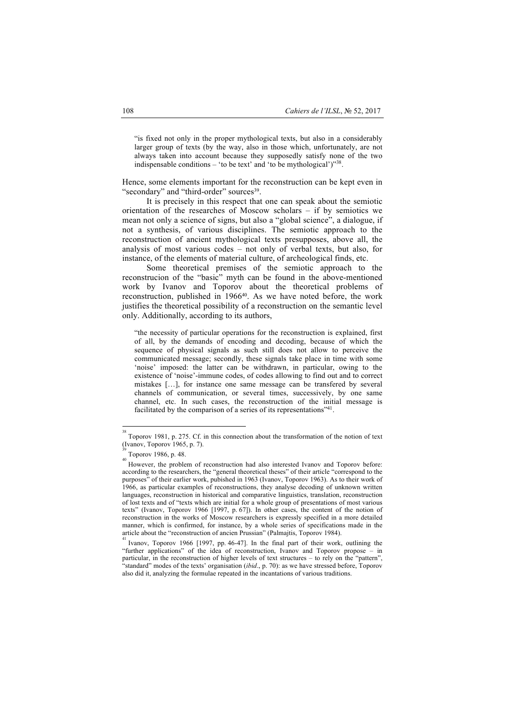"is fixed not only in the proper mythological texts, but also in a considerably larger group of texts (by the way, also in those which, unfortunately, are not always taken into account because they supposedly satisfy none of the two indispensable conditions – 'to be text' and 'to be mythological') $"38$ .

Hence, some elements important for the reconstruction can be kept even in "secondary" and "third-order" sources<sup>39</sup>.

It is precisely in this respect that one can speak about the semiotic orientation of the researches of Moscow scholars – if by semiotics we mean not only a science of signs, but also a "global science", a dialogue, if not a synthesis, of various disciplines. The semiotic approach to the reconstruction of ancient mythological texts presupposes, above all, the analysis of most various codes – not only of verbal texts, but also, for instance, of the elements of material culture, of archeological finds, etc.

Some theoretical premises of the semiotic approach to the reconstrucion of the "basic" myth can be found in the above-mentioned work by Ivanov and Toporov about the theoretical problems of reconstruction, published in 1966<sup>40</sup>. As we have noted before, the work justifies the theoretical possibility of a reconstruction on the semantic level only. Additionally, according to its authors,

"the necessity of particular operations for the reconstruction is explained, first of all, by the demands of encoding and decoding, because of which the sequence of physical signals as such still does not allow to perceive the communicated message; secondly, these signals take place in time with some 'noise' imposed: the latter can be withdrawn, in particular, owing to the existence of 'noise'-immune codes, of codes allowing to find out and to correct mistakes […], for instance one same message can be transfered by several channels of communication, or several times, successively, by one same channel, etc. In such cases, the reconstruction of the initial message is facilitated by the comparison of a series of its representations<sup>"41</sup>.

38

Toporov 1981, p. 275. Cf. in this connection about the transformation of the notion of text (Ivanov, Toporov 1965, р. 7). 39

Toporov 1986, p. 48.

However, the problem of reconstruction had also interested Ivanov and Toporov before: according to the researchers, the "general theoretical theses" of their article "correspond to the purposes" of their earlier work, pubished in 1963 (Ivanov, Toporov 1963). As to their work of 1966, as particular examples of reconstructions, they analyse decoding of unknown written languages, reconstruction in historical and comparative linguistics, translation, reconstruction of lost texts and of "texts which are initial for a whole group of presentations of most various texts" (Ivanov, Toporov 1966 [1997, р. 67]). In other cases, the content of the notion of reconstruction in the works of Moscow researchers is expressly specified in a more detailed manner, which is confirmed, for instance, by a whole series of specifications made in the article about the "reconstruction of ancien Prussian" (Palmajtis, Toporov 1984).

<sup>41</sup> Ivanov, Toporov 1966 [1997, рp. 46-47]. In the final part of their work, outlining the "further applications" of the idea of reconstruction, Ivanov and Toporov propose – in particular, in the reconstruction of higher levels of text structures – to rely on the "pattern", 'standard" modes of the texts' organisation (*ibid.*, p. 70): as we have stressed before, Toporov also did it, analyzing the formulae repeated in the incantations of various traditions.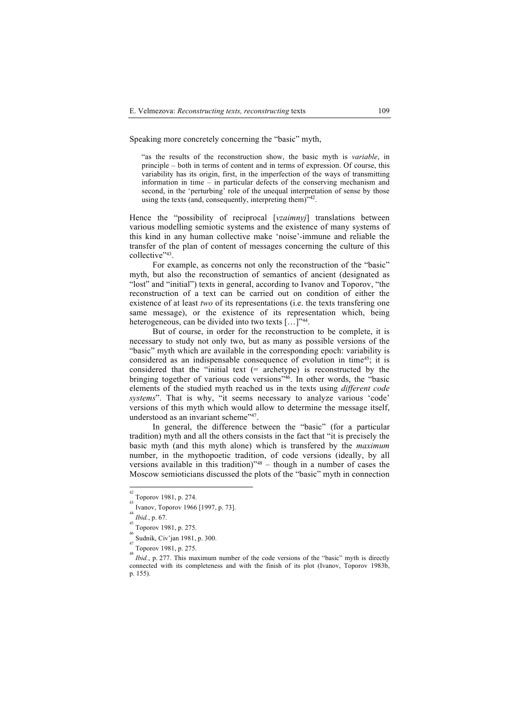Speaking more concretely concerning the "basic" myth,

"as the results of the reconstruction show, the basic myth is *variable*, in principle – both in terms of content and in terms of expression. Of course, this variability has its origin, first, in the imperfection of the ways of transmitting information in time – in particular defects of the conserving mechanism and second, in the 'perturbing' role of the unequal interpretation of sense by those using the texts (and, consequently, interpreting them)"42.

Hence the "possibility of reciprocal [*vzaimnyj*] translations between various modelling semiotic systems and the existence of many systems of this kind in any human collective make 'noise'-immune and reliable the transfer of the plan of content of messages concerning the culture of this collective"43.

For example, as concerns not only the reconstruction of the "basic" myth, but also the reconstruction of semantics of ancient (designated as "lost" and "initial") texts in general, according to Ivanov and Toporov, "the reconstruction of a text can be carried out on condition of either the existence of at least *two* of its representations (i.e. the texts transfering one same message), or the existence of its representation which, being heterogeneous, can be divided into two texts [...]"<sup>44</sup>.

But of course, in order for the reconstruction to be complete, it is necessary to study not only two, but as many as possible versions of the "basic" myth which are available in the corresponding epoch: variability is considered as an indispensable consequence of evolution in time<sup>45</sup>; it is considered that the "initial text (= archetype) is reconstructed by the bringing together of various code versions"<sup>46</sup>. In other words, the "basic elements of the studied myth reached us in the texts using *different code systems*". That is why, "it seems necessary to analyze various 'code' versions of this myth which would allow to determine the message itself, understood as an invariant scheme"<sup>47</sup>.

In general, the difference between the "basic" (for a particular tradition) myth and all the others consists in the fact that "it is precisely the basic myth (and this myth alone) which is transfered by the *maximum*  number, in the mythopoetic tradition, of code versions (ideally, by all versions available in this tradition)"48 – though in a number of cases the Moscow semioticians discussed the plots of the "basic" myth in connection

 $\frac{42}{43}$  Toporov 1981, p. 274.

Ivanov, Toporov 1966 [1997, р. 73]. 44

 $\int_{45}^{44} I b id.$ , p. 67.

Toporov 1981, р. 275.

<sup>46</sup> Sudnik, Civ'jan 1981, p. 300.

 $T_{48}$  Toporov 1981, p. 275.

*Ibid.*, p. 277. This maximum number of the code versions of the "basic" myth is directly connected with its completeness and with the finish of its plot (Ivanov, Toporov 1983b, р. 155).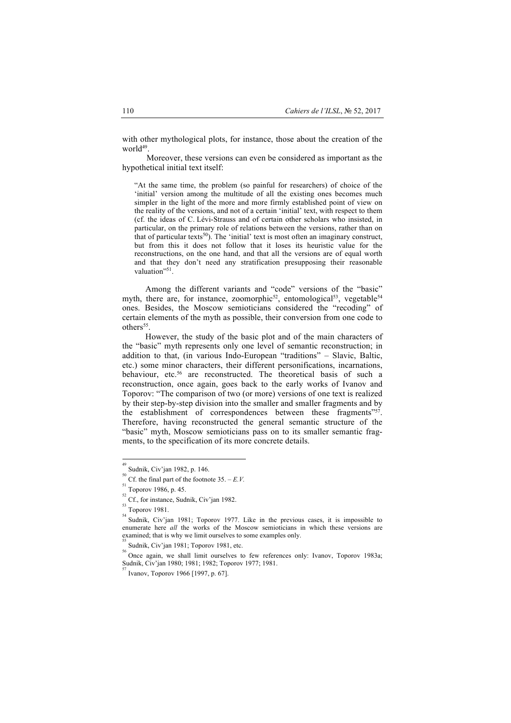with other mythological plots, for instance, those about the creation of the worl $d^{49}$ 

Moreover, these versions can even be considered as important as the hypothetical initial text itself:

"At the same time, the problem (so painful for researchers) of choice of the 'initial' version among the multitude of all the existing ones becomes much simpler in the light of the more and more firmly established point of view on the reality of the versions, and not of a certain 'initial' text, with respect to them (cf. the ideas of C. Lévi-Strauss and of certain other scholars who insisted, in particular, on the primary role of relations between the versions, rather than on that of particular texts<sup>50</sup>). The 'initial' text is most often an imaginary construct, but from this it does not follow that it loses its heuristic value for the reconstructions, on the one hand, and that all the versions are of equal worth and that they don't need any stratification presupposing their reasonable valuation"51.

Among the different variants and "code" versions of the "basic" myth, there are, for instance, zoomorphic<sup>52</sup>, entomological<sup>53</sup>, vegetable<sup>54</sup> ones. Besides, the Moscow semioticians considered the "recoding" of certain elements of the myth as possible, their conversion from one code to others<sup>55</sup>

However, the study of the basic plot and of the main characters of the "basic" myth represents only one level of semantic reconstruction; in addition to that, (in various Indo-European "traditions" – Slavic, Baltic, etc.) some minor characters, their different personifications, incarnations, behaviour, etc.<sup>56</sup> are reconstructed. The theoretical basis of such a reconstruction, once again, goes back to the early works of Ivanov and Toporov: "The comparison of two (or more) versions of one text is realized by their step-by-step division into the smaller and smaller fragments and by the establishment of correspondences between these fragments"<sup>57</sup>. Therefore, having reconstructed the general semantic structure of the "basic" myth, Moscow semioticians pass on to its smaller semantic fragments, to the specification of its more concrete details.

<sup>49</sup> Sudnik, Civ'jan 1982, р. 146.

<sup>50</sup>  $\frac{50}{51}$  Cf. the final part of the footnote 35. – *E.V.* 

 $\frac{51}{52}$  Toporov 1986, p. 45.

Cf., for instance, Sudnik, Civ'jan 1982. 53

Toporov 1981.

Sudnik, Civ'jan 1981; Toporov 1977. Like in the previous cases, it is impossible to enumerate here *all* the works of the Moscow semioticians in which these versions are examined; that is why we limit ourselves to some examples only.

 $\frac{33}{56}$  Sudnik, Civ'jan 1981; Toporov 1981, etc.

Once again, we shall limit ourselves to few references only: Ivanov, Toporov 1983а; Sudnik, Civ'jan 1980; 1981; 1982; Toporov 1977; 1981.

<sup>57</sup> Ivanov, Toporov 1966 [1997, р. 67].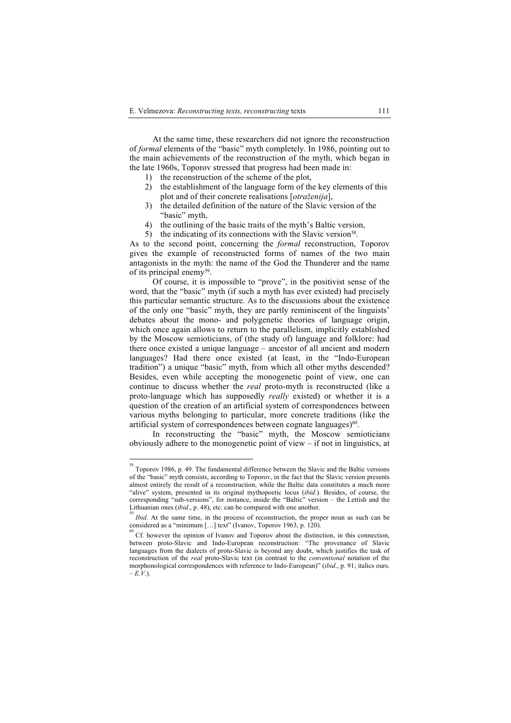At the same time, these researchers did not ignore the reconstruction of *formal* elements of the "basic" myth completely. In 1986, pointing out to the main achievements of the reconstruction of the myth, which began in the late 1960s, Toporov stressed that progress had been made in:

- 1) the reconstruction of the scheme of the plot,
- 2) the establishment of the language form of the key elements of this plot and of their concrete realisations [*otraženija*],
- 3) the detailed definition of the nature of the Slavic version of the "basic" myth,
- 4) the outlining of the basic traits of the myth's Baltic version,
- 5) the indicating of its connections with the Slavic version<sup>58</sup>.

As to the second point, concerning the *formal* reconstruction, Toporov gives the example of reconstructed forms of names of the two main antagonists in the myth: the name of the God the Thunderer and the name of its principal enemy59.

Of course, it is impossible to "prove", in the positivist sense of the word, that the "basic" myth (if such a myth has ever existed) had precisely this particular semantic structure. As to the discussions about the existence of the only one "basic" myth, they are partly reminiscent of the linguists' debates about the mono- and polygenetic theories of language origin, which once again allows to return to the parallelism, implicitly established by the Moscow semioticians, of (the study of) language and folklore: had there once existed a unique language – ancestor of all ancient and modern languages? Had there once existed (at least, in the "Indo-European tradition") a unique "basic" myth, from which all other myths descended? Besides, even while accepting the monogenetic point of view, one can continue to discuss whether the *real* proto-myth is reconstructed (like a proto-language which has supposedly *really* existed) or whether it is a question of the creation of an artificial system of correspondences between various myths belonging to particular, more concrete traditions (like the artificial system of correspondences between cognate languages) $60$ .

In reconstructing the "basic" myth, the Moscow semioticians obviously adhere to the monogenetic point of view – if not in linguistics, at

<sup>58</sup> Toporov 1986, р. 49. The fundamental difference between the Slavic and the Baltic versions of the "basic" myth consists, according to Toporov, in the fact that the Slavic version presents almost entirely the result of a reconstruction, while the Baltic data constitutes a much more "alive" system, presented in its original mythopoetic locus (*ibid.*). Besides, of course, the corresponding "sub-versions", for instance, inside the "Baltic" version – the Lettish and the Lithuanian ones (*ibid.*, p. 48), etc. can be compared with one another.

*Ibid*. At the same time, in the process of reconstruction, the proper noun as such can be considered as a "minimum  $[\dots]$  text" (Ivanov, Toporov 1963, p. 120).

Cf. however the opinion of Ivanov and Toporov about the distinction, in this connection, between proto-Slavic and Indo-European reconstruction: "The provenance of Slavic languages from the dialects of proto-Slavic is beyond any doubt, which justifies the task of reconstruction of the *real* proto-Slavic text (in contrast to the *conventional* notation of the morphonological correspondences with reference to Indo-European)" (*ibid*., р. 91; italics ours.  $-E(V)$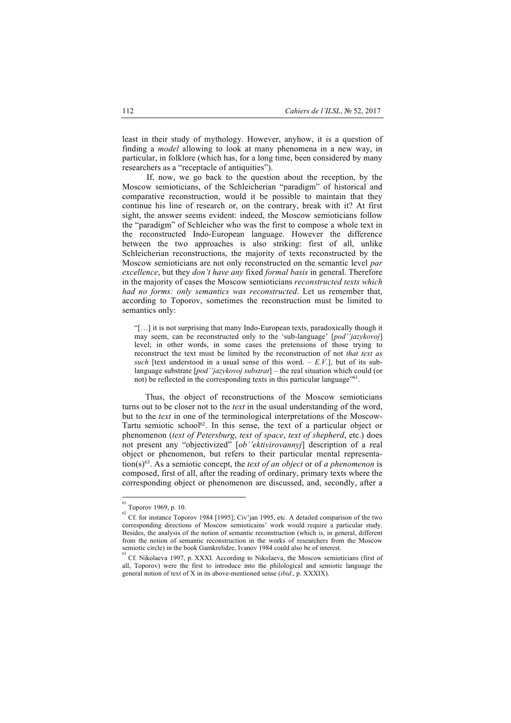least in their study of mythology. However, anyhow, it is a question of finding a *model* allowing to look at many phenomena in a new way, in particular, in folklore (which has, for a long time, been considered by many researchers as a "receptacle of antiquities").

If, now, we go back to the question about the reception, by the Moscow semioticians, of the Schleicherian "paradigm" of historical and comparative reconstruction, would it be possible to maintain that they continue his line of research or, on the contrary, break with it? At first sight, the answer seems evident: indeed, the Moscow semioticians follow the "paradigm" of Schleicher who was the first to compose a whole text in the reconstructed Indo-European language. However the difference between the two approaches is also striking: first of all, unlike Schleicherian reconstructions, the majority of texts reconstructed by the Moscow semioticians are not only reconstructed on the semantic level *par excellence*, but they *don't have any* fixed *formal basis* in general. Therefore in the majority of cases the Moscow semioticians *reconstructed texts which had no forms: only semantics was reconstructed*. Let us remember that, according to Toporov, sometimes the reconstruction must be limited to semantics only:

"[…] it is not surprising that many Indo-European texts, paradoxically though it may seem, can be reconstructed only to the 'sub-language' [*pod''jazykovoj*] level; in other words, in some cases the pretensions of those trying to reconstruct the text must be limited by the reconstruction of not *that text as such* [text understood in a usual sense of this word. –  $E.V.$ ], but of its sublanguage substrate [*pod''jazykovoj substrat*] – the real situation which could (or not) be reflected in the corresponding texts in this particular language"<sup>61</sup>.

Thus, the object of reconstructions of the Moscow semioticians turns out to be closer not to the *text* in the usual understanding of the word, but to the *text* in one of the terminological interpretations of the Moscow-Tartu semiotic school<sup>62</sup>. In this sense, the text of a particular object or phenomenon (*text of Petersburg*, *text of space*, *text of shepherd*, etc.) does not present any "objectivized" [*ob''ektivirovannyj*] description of a real object or phenomenon, but refers to their particular mental representation(s)63. As a semiotic concept, the *text of an object* or of *a phenomenon* is composed, first of all, after the reading of ordinary, primary texts where the corresponding object or phenomenon are discussed, and, secondly, after a

<sup>61</sup>  $\frac{61}{62}$  Toporov 1969, p. 10.

Cf. for instance Toporov 1984 [1995]; Civ'jan 1995, etc. A detailed comparison of the two corresponding directions of Moscow semioticains' work would require a particular study. Besides, the analysis of the notion of semantic reconstruction (which is, in general, different from the notion of semantic reconstruction in the works of researchers from the Moscow semiotic circle) in the book Gamkrelidze, Ivanov 1984 could also be of interest. 63

Cf. Nikolaeva 1997, р. XXXI. According to Nikolaeva, the Moscow semioticians (first of all, Toporov) were the first to introduce into the philological and semiotic language the general notion of text of X in its above-mentioned sense (*ibid*., р. XXXIX).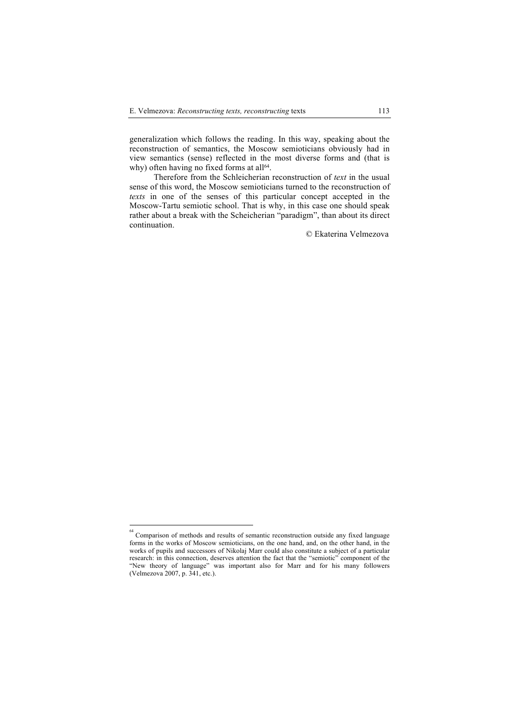generalization which follows the reading. In this way, speaking about the reconstruction of semantics, the Moscow semioticians obviously had in view semantics (sense) reflected in the most diverse forms and (that is why) often having no fixed forms at all<sup>64</sup>.

Therefore from the Schleicherian reconstruction of *text* in the usual sense of this word, the Moscow semioticians turned to the reconstruction of *texts* in one of the senses of this particular concept accepted in the Moscow-Tartu semiotic school. That is why, in this case one should speak rather about a break with the Scheicherian "paradigm", than about its direct continuation.

© Ekaterina Velmezova

<sup>&</sup>lt;sup>64</sup><br>Comparison of methods and results of semantic reconstruction outside any fixed language forms in the works of Moscow semioticians, on the one hand, and, on the other hand, in the works of pupils and successors of Nikolaj Marr could also constitute a subject of a particular research: in this connection, deserves attention the fact that the "semiotic" component of the "New theory of language" was important also for Marr and for his many followers (Velmezova 2007, p. 341, etc.).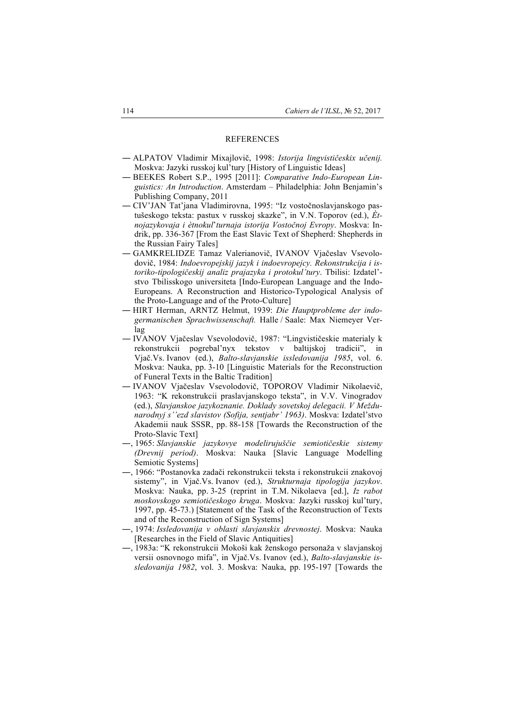## REFERENCES

- ― ALPATOV Vladimir Mixajlovič, 1998: *Istorija lingvističeskix učenij.* Moskva: Jazyki russkoj kul'tury [History of Linguistic Ideas]
- ― BEEKES Robert S.P., 1995 [2011]: *Comparative Indo-European Linguistics: An Introduction*. Amsterdam – Philadelphia: John Benjamin's Publishing Company, 2011
- ― CIV'JAN Tat'jana Vladimirovna, 1995: "Iz vostočnoslavjanskogo pastušeskogo teksta: pastux v russkoj skazke", in V.N. Toporov (ed.), *Ètnojazykovaja i ètnokul*'*turnaja istorija Vostočnoj Evropy*. Moskva: Indrik, pp. 336-367 [From the East Slavic Text of Shepherd: Shepherds in the Russian Fairy Tales]
- ― GAMKRELIDZE Tamaz Valerianovič, IVANOV Vjačeslav Vsevolodovič, 1984: *Indoevropejskij jazyk i indoevropejcy. Rekonstrukcija i istoriko-tipologičeskij analiz prajazyka i protokul'tury*. Tbilisi: Izdatel' stvo Tbilisskogo universiteta [Indo-European Language and the Indo-Europeans. A Reconstruction and Historico-Typological Analysis of the Proto-Language and of the Proto-Culture]
- ― HIRT Herman, ARNTZ Helmut, 1939: *Die Hauptprobleme der indogermanischen Sprachwissenschaft.* Halle / Saale: Max Niemeyer Verlag
- ― IVANOV Vjačeslav Vsevolodovič, 1987: "Lingvističeskie materialy k rekonstrukcii pogrebal'nyx tekstov v baltijskoj tradicii", in Vjač.Vs. Ivanov (ed.), *Balto-slavjanskie issledovanija 1985*, vol. 6. Moskva: Nauka, pp. 3-10 [Linguistic Materials for the Reconstruction of Funeral Texts in the Baltic Tradition]
- ― IVANOV Vjačeslav Vsevolodovič, TOPOROV Vladimir Nikolaevič, 1963: "K rekonstrukcii praslavjanskogo teksta", in V.V. Vinogradov (ed.), *Slavjanskoe jazykoznanie. Doklady sovetskoj delegacii. V Meždunarodnyj s''ezd slavistov (Sofija, sentjabr' 1963)*. Moskva: Izdatel'stvo Akademii nauk SSSR, pp. 88-158 [Towards the Reconstruction of the Proto-Slavic Text]
- ―, 1965: *Slavjanskie jazykovye modelirujuščie semiotičeskie sistemy (Drevnij period)*. Moskva: Nauka [Slavic Language Modelling Semiotic Systems]
- ―, 1966: "Postanovka zadači rekonstrukcii teksta i rekonstrukcii znakovoj sistemy", in Vjač.Vs. Ivanov (ed.), *Strukturnaja tipologija jazykov*. Moskva: Nauka, pp. 3-25 (reprint in T.M. Nikolaeva [ed.], *Iz rabot moskovskogo semiotičeskogo kruga*. Moskva: Jazyki russkoj kul'tury, 1997, pp. 45-73.) [Statement of the Task of the Reconstruction of Texts and of the Reconstruction of Sign Systems]
- ―, 1974: *Issledovanija v oblasti slavjanskix drevnostej*. Moskva: Nauka [Researches in the Field of Slavic Antiquities]
- ―, 1983a: "K rekonstrukcii Mokoši kak ženskogo personaža v slavjanskoj versii osnovnogo mifa", in Vjač.Vs. Ivanov (ed.), *Balto-slavjanskie issledovanija 1982*, vol. 3. Moskva: Nauka, pp. 195-197 [Towards the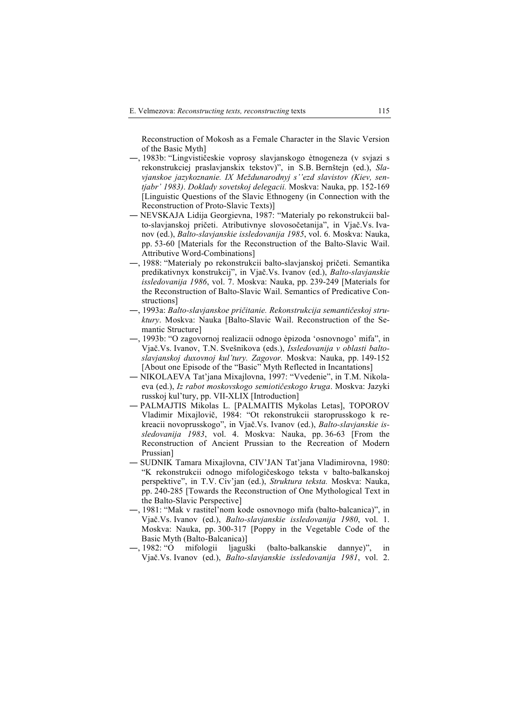Reconstruction of Mokosh as a Female Character in the Slavic Version of the Basic Myth]

- ―, 1983b: "Lingvističeskie voprosy slavjanskogo ètnogeneza (v svjazi s rekonstrukciej praslavjanskix tekstov)", in S.B. Bernštejn (ed.), *Slavjanskoe jazykoznanie. IX Meždunarodnyj s''ezd slavistov (Kiev, sentjabr' 1983)*. *Doklady sovetskoj delegacii.* Moskva: Nauka, pp. 152-169 [Linguistic Questions of the Slavic Ethnogeny (in Connection with the Reconstruction of Proto-Slavic Texts)]
- ― NEVSKAJA Lidija Georgievna, 1987: "Materialy po rekonstrukcii balto-slavjanskoj pričeti. Atributivnye slovosočetanija", in Vjač.Vs. Ivanov (ed.), *Balto-slavjanskie issledovanija 1985*, vol. 6. Moskva: Nauka, pp. 53-60 [Materials for the Reconstruction of the Balto-Slavic Wail. Attributive Word-Combinations]
- ―, 1988: "Materialy po rekonstrukcii balto-slavjanskoj pričeti. Semantika predikativnyx konstrukcij", in Vjač.Vs. Ivanov (ed.), *Balto-slavjanskie issledovanija 1986*, vol. 7. Moskva: Nauka, pp. 239-249 [Materials for the Reconstruction of Balto-Slavic Wail. Semantics of Predicative Constructions]
- ―, 1993а: *Balto-slavjanskoe pričitanie. Rekonstrukcija semantičeskoj struktury*. Moskva: Nauka [Balto-Slavic Wail. Reconstruction of the Semantic Structure]
- ―, 1993b: "О zagovornoj realizacii odnogo èpizoda 'osnovnogo' mifa", in Vjač.Vs. Ivanov, T.N. Svešnikova (eds.), *Issledovanija v oblasti baltoslavjanskoj duxovnoj kul'tury. Zagovor.* Moskva: Nauka, pp. 149-152 [About one Episode of the "Basic" Myth Reflected in Incantations]
- ― NIKOLAEVA Tat'jana Mixajlovna, 1997: "Vvedenie", in T.M. Nikolaeva (ed.), *Iz rabot moskovskogo semiotičeskogo kruga*. Moskva: Jazyki russkoj kul'tury, pp. VII-XLIX [Introduction]
- PALMAJTIS Mikolas L. [PALMAITIS Mykolas Letas], TOPOROV Vladimir Mixajlovič, 1984: "Ot rekonstrukcii staroprusskogo k rekreacii novoprusskogo", in Vjač.Vs. Ivanov (ed.), *Balto-slavjanskie issledovanija 1983*, vol. 4. Moskva: Nauka, pp. 36-63 [From the Reconstruction of Ancient Prussian to the Recreation of Modern Prussian]
- ― SUDNIK Tamara Mixajlovna, CIV'JAN Tat'jana Vladimirovna, 1980: "K rekonstrukcii odnogo mifologičeskogo teksta v balto-balkanskoj perspektive", in T.V. Civ'jan (ed.), *Struktura teksta.* Moskva: Nauka, pp. 240-285 [Towards the Reconstruction of One Mythological Text in the Balto-Slavic Perspective]
- ―, 1981: "Mak v rastitel'nom kode osnovnogo mifa (balto-balcanica)", in Vjač.Vs. Ivanov (ed.), *Balto-slavjanskie issledovanija 1980*, vol. 1. Moskva: Nauka, pp. 300-317 [Poppy in the Vegetable Code of the Basic Myth (Balto-Balcanica)]
- ―, 1982: "O mifologii ljaguški (balto-balkanskie dannye)", in Vjač.Vs. Ivanov (ed.), *Balto-slavjanskie issledovanija 1981*, vol. 2.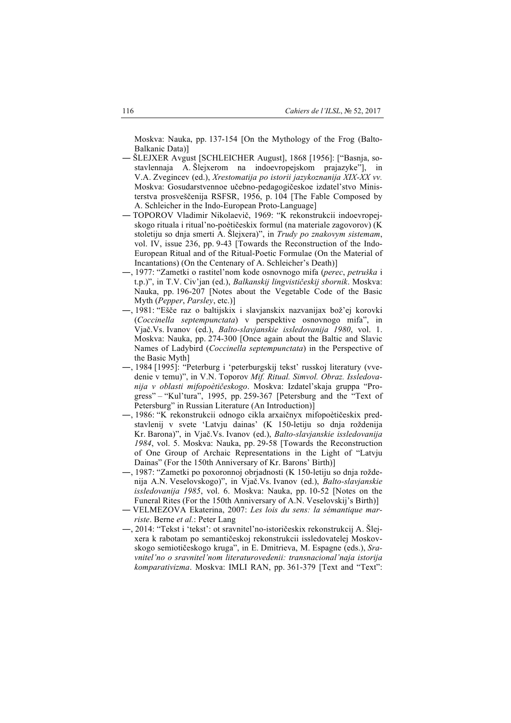Moskva: Nauka, pp. 137-154 [On the Mythology of the Frog (Balto-Balkanic Data)]

- ― ŠLEJXER Avgust [SCHLEICHER August], 1868 [1956]: ["Basnja, sostavlennaja A. Šlejxerom na indoevropejskom prajazyke"], in V.A. Zvegincev (ed.), *Хrestomatija po istorii jazykoznanija XIX-XX vv.* Moskva: Gosudarstvennoe učebno-pedagogičeskoe izdatel'stvo Ministerstva prosveščenija RSFSR, 1956, р. 104 [The Fable Composed by A. Schleicher in the Indo-European Proto-Language]
- ― TOPOROV Vladimir Nikolaevič, 1969: "K rekonstrukcii indoevropejskogo rituala i ritual'no-poètičeskix formul (na materiale zagovorov) (K stoletiju so dnja smerti А. Šlejxera)", in *Trudy po znakovym sistemam*, vol. IV, issue 236, pp. 9-43 [Towards the Reconstruction of the Indo-European Ritual and of the Ritual-Poetic Formulae (On the Material of Incantations) (On the Centenary of A. Schleicher's Death)]
- ―, 1977: "Zametki o rastitel'nom kode osnovnogo mifa (*perec*, *petruška* i t.p.)", in T.V. Civ'jan (ed.), *Balkanskij lingvističeskij sbornik*. Moskva: Nauka, pp. 196-207 [Notes about the Vegetable Code of the Basic Myth (*Pepper*, *Parsley*, etc.)]
- ―, 1981: "Ešče raz o baltijskix i slavjanskix nazvanijax bož'ej korovki (*Coccinella septempunctata*) v perspektive osnovnogo mifa", in Vjač.Vs. Ivanov (ed.), *Balto-slavjanskie issledovanija 1980*, vol. 1. Moskva: Nauka, pp. 274-300 [Once again about the Baltic and Slavic Names of Ladybird (*Coccinella septempunctata*) in the Perspective of the Basic Myth]
- ―, 1984 [1995]: "Peterburg i 'peterburgskij tekst' russkoj literatury (vvedenie v temu)", in V.N. Toporov *Mif. Ritual. Simvol. Obraz. Issledovanija v oblasti mifopoètičeskogo*. Moskva: Izdatel'skaja gruppa "Progress" – "Kul'tura", 1995, pp. 259-367 [Petersburg and the "Text of Petersburg" in Russian Literature (An Introduction)]
- ―, 1986: "K rekonstrukcii odnogo cikla arxaičnyx mifopoètičeskix predstavlenij v svete 'Latvju dainas' (K 150-letiju so dnja roždenija Kr. Barona)", in Vjač.Vs. Ivanov (ed.), *Balto-slavjanskie issledovanija 1984*, vol. 5. Moskva: Nauka, pp. 29-58 [Towards the Reconstruction of One Group of Archaic Representations in the Light of "Latvju Dainas" (For the 150th Anniversary of Kr. Barons' Birth)]
- ―, 1987: "Zametki po poxoronnoj obrjadnosti (K 150-letiju so dnja roždenija A.N. Veselovskogo)", in Vjač.Vs. Ivanov (ed.), *Balto-slavjanskie issledovanija 1985*, vol. 6. Moskva: Nauka, pp. 10-52 [Notes on the Funeral Rites (For the 150th Anniversary of A.N. Veselovskij's Birth)]
- ― VELMEZOVA Ekaterina, 2007: *Les lois du sens: la sémantique marriste*. Berne *et al.*: Peter Lang
- ―, 2014: "Tekst i 'tekst': ot sravnitel'no-istoričeskix rekonstrukcij A. Šlejxera k rabotam po semantičeskoj rekonstrukcii issledovatelej Moskovskogo semiotičeskogo kruga", in E. Dmitrieva, M. Espagne (eds.), *Sravnitel'no o sravnitel'nom literaturovedenii: transnacional'naja istorija komparativizma*. Moskva: IMLI RAN, pp. 361-379 [Text and "Text":